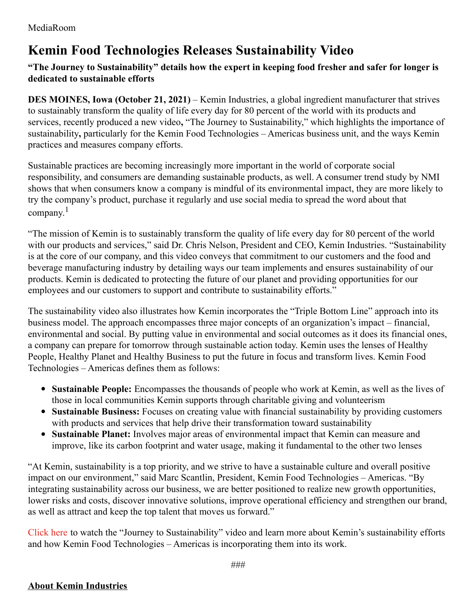## **Kemin Food Technologies Releases Sustainability Video**

## **"The Journey to Sustainability" details how the expert in keeping food fresher and safer for longer is dedicated to sustainable efforts**

**DES MOINES, Iowa (October 21, 2021)** – Kemin Industries, a global ingredient manufacturer that strives to sustainably transform the quality of life every day for 80 percent of the world with its products and services, recently produced a new video**,** "The Journey to Sustainability," which highlights the importance of sustainability**,** particularly for the Kemin Food Technologies – Americas business unit, and the ways Kemin practices and measures company efforts.

Sustainable practices are becoming increasingly more important in the world of corporate social responsibility, and consumers are demanding sustainable products, as well. A consumer trend study by NMI shows that when consumers know a company is mindful of its environmental impact, they are more likely to try the company's product, purchase it regularly and use social media to spread the word about that company. 1

"The mission of Kemin is to sustainably transform the quality of life every day for 80 percent of the world with our products and services," said Dr. Chris Nelson, President and CEO, Kemin Industries. "Sustainability is at the core of our company, and this video conveys that commitment to our customers and the food and beverage manufacturing industry by detailing ways our team implements and ensures sustainability of our products. Kemin is dedicated to protecting the future of our planet and providing opportunities for our employees and our customers to support and contribute to sustainability efforts."

The sustainability video also illustrates how Kemin incorporates the "Triple Bottom Line" approach into its business model. The approach encompasses three major concepts of an organization's impact – financial, environmental and social. By putting value in environmental and social outcomes as it does its financial ones, a company can prepare for tomorrow through sustainable action today. Kemin uses the lenses of Healthy People, Healthy Planet and Healthy Business to put the future in focus and transform lives. Kemin Food Technologies – Americas defines them as follows:

- **Sustainable People:** Encompasses the thousands of people who work at Kemin, as well as the lives of those in local communities Kemin supports through charitable giving and volunteerism
- **Sustainable Business:** Focuses on creating value with financial sustainability by providing customers with products and services that help drive their transformation toward sustainability
- **Sustainable Planet:** Involves major areas of environmental impact that Kemin can measure and improve, like its carbon footprint and water usage, making it fundamental to the other two lenses

"At Kemin, sustainability is a top priority, and we strive to have a sustainable culture and overall positive impact on our environment," said Marc Scantlin, President, Kemin Food Technologies – Americas. "By integrating sustainability across our business, we are better positioned to realize new growth opportunities, lower risks and costs, discover innovative solutions, improve operational efficiency and strengthen our brand, as well as attract and keep the top talent that moves us forward."

[Click](https://www.kemin.com/na/en-us/markets/food/about-us?utm_source=news&utm_medium=press_release&utm_campaign=saving_the_world&utm_term=sustainability-video&utm_content=october_2021&utm_bu=kftna) here to watch the "Journey to Sustainability" video and learn more about Kemin's sustainability efforts and how Kemin Food Technologies – Americas is incorporating them into its work.